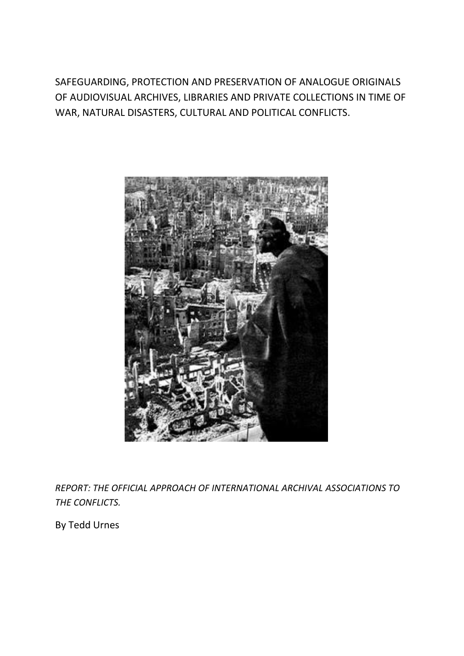SAFEGUARDING, PROTECTION AND PRESERVATION OF ANALOGUE ORIGINALS OF AUDIOVISUAL ARCHIVES, LIBRARIES AND PRIVATE COLLECTIONS IN TIME OF WAR, NATURAL DISASTERS, CULTURAL AND POLITICAL CONFLICTS.



*REPORT: THE OFFICIAL APPROACH OF INTERNATIONAL ARCHIVAL ASSOCIATIONS TO THE CONFLICTS.*

By Tedd Urnes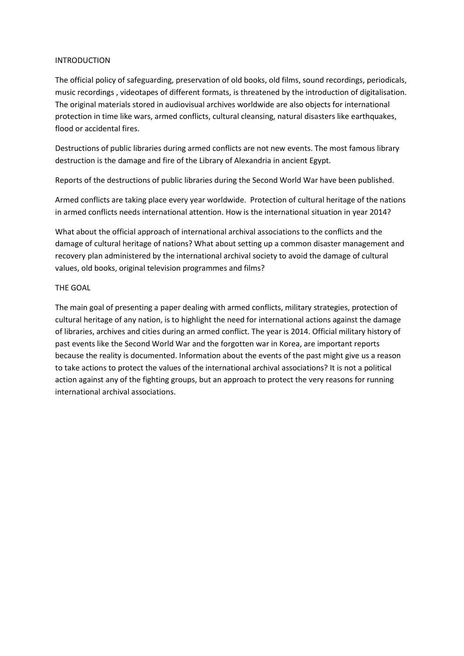### INTRODUCTION

The official policy of safeguarding, preservation of old books, old films, sound recordings, periodicals, music recordings , videotapes of different formats, is threatened by the introduction of digitalisation. The original materials stored in audiovisual archives worldwide are also objects for international protection in time like wars, armed conflicts, cultural cleansing, natural disasters like earthquakes, flood or accidental fires.

Destructions of public libraries during armed conflicts are not new events. The most famous library destruction is the damage and fire of the Library of Alexandria in ancient Egypt.

Reports of the destructions of public libraries during the Second World War have been published.

Armed conflicts are taking place every year worldwide. Protection of cultural heritage of the nations in armed conflicts needs international attention. How is the international situation in year 2014?

What about the official approach of international archival associations to the conflicts and the damage of cultural heritage of nations? What about setting up a common disaster management and recovery plan administered by the international archival society to avoid the damage of cultural values, old books, original television programmes and films?

## THE GOAL

The main goal of presenting a paper dealing with armed conflicts, military strategies, protection of cultural heritage of any nation, is to highlight the need for international actions against the damage of libraries, archives and cities during an armed conflict. The year is 2014. Official military history of past events like the Second World War and the forgotten war in Korea, are important reports because the reality is documented. Information about the events of the past might give us a reason to take actions to protect the values of the international archival associations? It is not a political action against any of the fighting groups, but an approach to protect the very reasons for running international archival associations.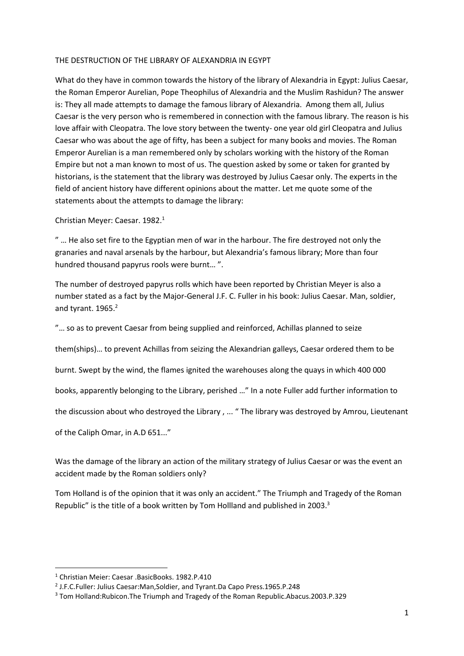### THE DESTRUCTION OF THE LIBRARY OF ALEXANDRIA IN EGYPT

What do they have in common towards the history of the library of Alexandria in Egypt: Julius Caesar, the Roman Emperor Aurelian, Pope Theophilus of Alexandria and the Muslim Rashidun? The answer is: They all made attempts to damage the famous library of Alexandria. Among them all, Julius Caesar is the very person who is remembered in connection with the famous library. The reason is his love affair with Cleopatra. The love story between the twenty- one year old girl Cleopatra and Julius Caesar who was about the age of fifty, has been a subject for many books and movies. The Roman Emperor Aurelian is a man remembered only by scholars working with the history of the Roman Empire but not a man known to most of us. The question asked by some or taken for granted by historians, is the statement that the library was destroyed by Julius Caesar only. The experts in the field of ancient history have different opinions about the matter. Let me quote some of the statements about the attempts to damage the library:

Christian Meyer: Caesar. 1982.<sup>1</sup>

" … He also set fire to the Egyptian men of war in the harbour. The fire destroyed not only the granaries and naval arsenals by the harbour, but Alexandria's famous library; More than four hundred thousand papyrus rools were burnt… ".

The number of destroyed papyrus rolls which have been reported by Christian Meyer is also a number stated as a fact by the Major-General J.F. C. Fuller in his book: Julius Caesar. Man, soldier, and tyrant. 1965.<sup>2</sup>

"… so as to prevent Caesar from being supplied and reinforced, Achillas planned to seize

them(ships)… to prevent Achillas from seizing the Alexandrian galleys, Caesar ordered them to be

burnt. Swept by the wind, the flames ignited the warehouses along the quays in which 400 000

books, apparently belonging to the Library, perished …" In a note Fuller add further information to

the discussion about who destroyed the Library , ... " The library was destroyed by Amrou, Lieutenant

of the Caliph Omar, in A.D 651..."

Was the damage of the library an action of the military strategy of Julius Caesar or was the event an accident made by the Roman soldiers only?

Tom Holland is of the opinion that it was only an accident." The Triumph and Tragedy of the Roman Republic" is the title of a book written by Tom Hollland and published in 2003.<sup>3</sup>

**.** 

<sup>1</sup> Christian Meier: Caesar .BasicBooks. 1982.P.410

<sup>2</sup> J.F.C.Fuller: Julius Caesar:Man,Soldier, and Tyrant.Da Capo Press.1965.P.248

<sup>3</sup> Tom Holland:Rubicon.The Triumph and Tragedy of the Roman Republic.Abacus.2003.P.329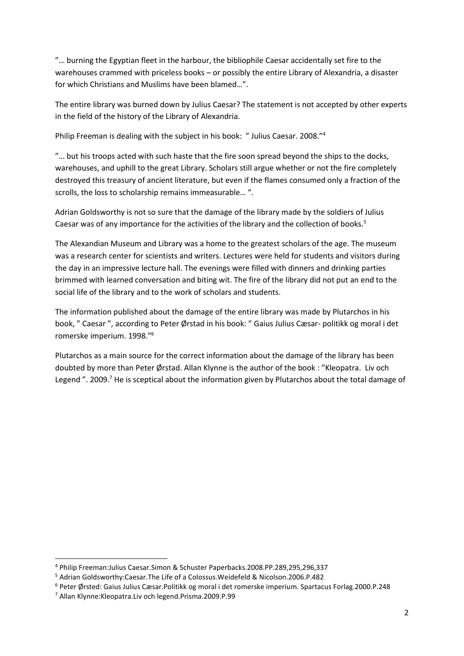"… burning the Egyptian fleet in the harbour, the bibliophile Caesar accidentally set fire to the warehouses crammed with priceless books – or possibly the entire Library of Alexandria, a disaster for which Christians and Muslims have been blamed…".

The entire library was burned down by Julius Caesar? The statement is not accepted by other experts in the field of the history of the Library of Alexandria.

Philip Freeman is dealing with the subject in his book: " Julius Caesar. 2008."<sup>4</sup>

"... but his troops acted with such haste that the fire soon spread beyond the ships to the docks, warehouses, and uphill to the great Library. Scholars still argue whether or not the fire completely destroyed this treasury of ancient literature, but even if the flames consumed only a fraction of the scrolls, the loss to scholarship remains immeasurable… ".

Adrian Goldsworthy is not so sure that the damage of the library made by the soldiers of Julius Caesar was of any importance for the activities of the library and the collection of books.<sup>5</sup>

The Alexandian Museum and Library was a home to the greatest scholars of the age. The museum was a research center for scientists and writers. Lectures were held for students and visitors during the day in an impressive lecture hall. The evenings were filled with dinners and drinking parties brimmed with learned conversation and biting wit. The fire of the library did not put an end to the social life of the library and to the work of scholars and students.

The information published about the damage of the entire library was made by Plutarchos in his book, " Caesar ", according to Peter Ørstad in his book: " Gaius Julius Cæsar- politikk og moral i det romerske imperium. 1998." 6

Plutarchos as a main source for the correct information about the damage of the library has been doubted by more than Peter Ørstad. Allan Klynne is the author of the book : "Kleopatra. Liv och Legend". 2009.<sup>7</sup> He is sceptical about the information given by Plutarchos about the total damage of

<sup>4</sup> Philip Freeman:Julius Caesar.Simon & Schuster Paperbacks.2008.PP.289,295,296,337

<sup>5</sup> Adrian Goldsworthy:Caesar.The Life of a Colossus.Weidefeld & Nicolson.2006.P.482

<sup>6</sup> Peter Ørsted: Gaius Julius Cæsar.Politikk og moral i det romerske imperium. Spartacus Forlag.2000.P.248

<sup>7</sup> Allan Klynne:Kleopatra.Liv och legend.Prisma.2009.P.99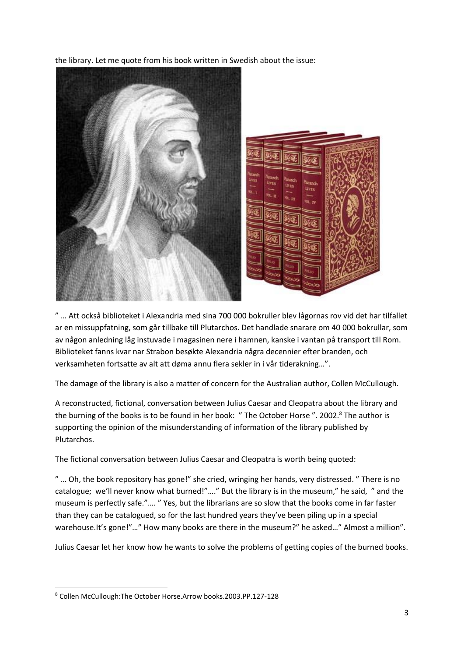the library. Let me quote from his book written in Swedish about the issue:



" … Att också biblioteket i Alexandria med sina 700 000 bokruller blev lågornas rov vid det har tilfallet ar en missuppfatning, som går tillbake till Plutarchos. Det handlade snarare om 40 000 bokrullar, som av någon anledning låg instuvade i magasinen nere i hamnen, kanske i vantan på transport till Rom. Biblioteket fanns kvar nar Strabon besøkte Alexandria några decennier efter branden, och verksamheten fortsatte av alt att døma annu flera sekler in i vår tiderakning…".

The damage of the library is also a matter of concern for the Australian author, Collen McCullough.

A reconstructed, fictional, conversation between Julius Caesar and Cleopatra about the library and the burning of the books is to be found in her book: " The October Horse ". 2002.<sup>8</sup> The author is supporting the opinion of the misunderstanding of information of the library published by Plutarchos.

The fictional conversation between Julius Caesar and Cleopatra is worth being quoted:

" … Oh, the book repository has gone!" she cried, wringing her hands, very distressed. " There is no catalogue; we'll never know what burned!"…." But the library is in the museum," he said, " and the museum is perfectly safe."…. " Yes, but the librarians are so slow that the books come in far faster than they can be catalogued, so for the last hundred years they've been piling up in a special warehouse.It's gone!"..." How many books are there in the museum?" he asked..." Almost a million".

Julius Caesar let her know how he wants to solve the problems of getting copies of the burned books.

**<sup>.</sup>** <sup>8</sup> Collen McCullough:The October Horse.Arrow books.2003.PP.127-128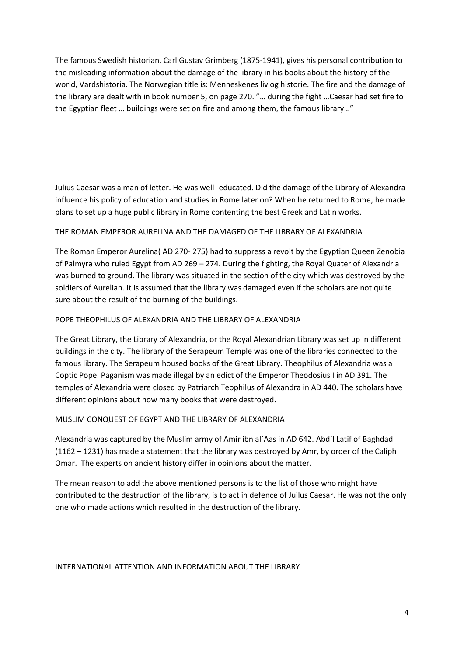The famous Swedish historian, Carl Gustav Grimberg (1875-1941), gives his personal contribution to the misleading information about the damage of the library in his books about the history of the world, Vardshistoria. The Norwegian title is: Menneskenes liv og historie. The fire and the damage of the library are dealt with in book number 5, on page 270. "… during the fight …Caesar had set fire to the Egyptian fleet … buildings were set on fire and among them, the famous library…"

Julius Caesar was a man of letter. He was well- educated. Did the damage of the Library of Alexandra influence his policy of education and studies in Rome later on? When he returned to Rome, he made plans to set up a huge public library in Rome contenting the best Greek and Latin works.

## THE ROMAN EMPEROR AURELINA AND THE DAMAGED OF THE LIBRARY OF ALEXANDRIA

The Roman Emperor Aurelina( AD 270- 275) had to suppress a revolt by the Egyptian Queen Zenobia of Palmyra who ruled Egypt from AD 269 – 274. During the fighting, the Royal Quater of Alexandria was burned to ground. The library was situated in the section of the city which was destroyed by the soldiers of Aurelian. It is assumed that the library was damaged even if the scholars are not quite sure about the result of the burning of the buildings.

### POPE THEOPHILUS OF ALEXANDRIA AND THE LIBRARY OF ALEXANDRIA

The Great Library, the Library of Alexandria, or the Royal Alexandrian Library was set up in different buildings in the city. The library of the Serapeum Temple was one of the libraries connected to the famous library. The Serapeum housed books of the Great Library. Theophilus of Alexandria was a Coptic Pope. Paganism was made illegal by an edict of the Emperor Theodosius I in AD 391. The temples of Alexandria were closed by Patriarch Teophilus of Alexandra in AD 440. The scholars have different opinions about how many books that were destroyed.

### MUSLIM CONQUEST OF EGYPT AND THE LIBRARY OF ALEXANDRIA

Alexandria was captured by the Muslim army of Amir ibn al`Aas in AD 642. Abd`l Latif of Baghdad (1162 – 1231) has made a statement that the library was destroyed by Amr, by order of the Caliph Omar. The experts on ancient history differ in opinions about the matter.

The mean reason to add the above mentioned persons is to the list of those who might have contributed to the destruction of the library, is to act in defence of Juilus Caesar. He was not the only one who made actions which resulted in the destruction of the library.

### INTERNATIONAL ATTENTION AND INFORMATION ABOUT THE LIBRARY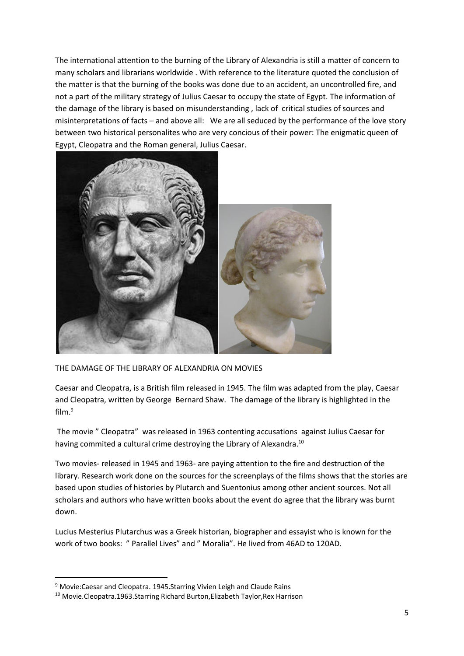The international attention to the burning of the Library of Alexandria is still a matter of concern to many scholars and librarians worldwide . With reference to the literature quoted the conclusion of the matter is that the burning of the books was done due to an accident, an uncontrolled fire, and not a part of the military strategy of Julius Caesar to occupy the state of Egypt. The information of the damage of the library is based on misunderstanding , lack of critical studies of sources and misinterpretations of facts – and above all: We are all seduced by the performance of the love story between two historical personalites who are very concious of their power: The enigmatic queen of Egypt, Cleopatra and the Roman general, Julius Caesar.



THE DAMAGE OF THE LIBRARY OF ALEXANDRIA ON MOVIES

Caesar and Cleopatra, is a British film released in 1945. The film was adapted from the play, Caesar and Cleopatra, written by George Bernard Shaw. The damage of the library is highlighted in the film.<sup>9</sup>

The movie " Cleopatra" was released in 1963 contenting accusations against Julius Caesar for having commited a cultural crime destroying the Library of Alexandra.<sup>10</sup>

Two movies- released in 1945 and 1963- are paying attention to the fire and destruction of the library. Research work done on the sources for the screenplays of the films shows that the stories are based upon studies of histories by Plutarch and Suentonius among other ancient sources. Not all scholars and authors who have written books about the event do agree that the library was burnt down.

Lucius Mesterius Plutarchus was a Greek historian, biographer and essayist who is known for the work of two books: " Parallel Lives" and " Moralia". He lived from 46AD to 120AD.

<sup>&</sup>lt;sup>9</sup> Movie: Caesar and Cleopatra. 1945. Starring Vivien Leigh and Claude Rains

<sup>10</sup> Movie.Cleopatra.1963.Starring Richard Burton,Elizabeth Taylor,Rex Harrison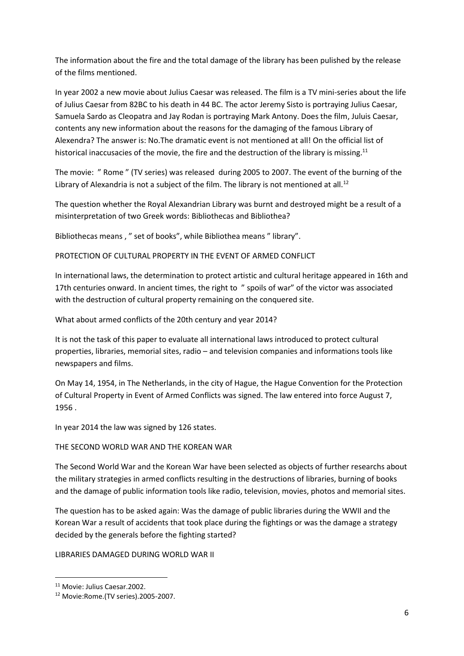The information about the fire and the total damage of the library has been pulished by the release of the films mentioned.

In year 2002 a new movie about Julius Caesar was released. The film is a TV mini-series about the life of Julius Caesar from 82BC to his death in 44 BC. The actor Jeremy Sisto is portraying Julius Caesar, Samuela Sardo as Cleopatra and Jay Rodan is portraying Mark Antony. Does the film, Juluis Caesar, contents any new information about the reasons for the damaging of the famous Library of Alexendra? The answer is: No.The dramatic event is not mentioned at all! On the official list of historical inaccusacies of the movie, the fire and the destruction of the library is missing.<sup>11</sup>

The movie: " Rome " (TV series) was released during 2005 to 2007. The event of the burning of the Library of Alexandria is not a subject of the film. The library is not mentioned at all.<sup>12</sup>

The question whether the Royal Alexandrian Library was burnt and destroyed might be a result of a misinterpretation of two Greek words: Bibliothecas and Bibliothea?

Bibliothecas means , " set of books", while Bibliothea means " library".

PROTECTION OF CULTURAL PROPERTY IN THE EVENT OF ARMED CONFLICT

In international laws, the determination to protect artistic and cultural heritage appeared in 16th and 17th centuries onward. In ancient times, the right to " spoils of war" of the victor was associated with the destruction of cultural property remaining on the conquered site.

What about armed conflicts of the 20th century and year 2014?

It is not the task of this paper to evaluate all international laws introduced to protect cultural properties, libraries, memorial sites, radio – and television companies and informations tools like newspapers and films.

On May 14, 1954, in The Netherlands, in the city of Hague, the Hague Convention for the Protection of Cultural Property in Event of Armed Conflicts was signed. The law entered into force August 7, 1956 .

In year 2014 the law was signed by 126 states.

### THE SECOND WORLD WAR AND THE KOREAN WAR

The Second World War and the Korean War have been selected as objects of further researchs about the military strategies in armed conflicts resulting in the destructions of libraries, burning of books and the damage of public information tools like radio, television, movies, photos and memorial sites.

The question has to be asked again: Was the damage of public libraries during the WWII and the Korean War a result of accidents that took place during the fightings or was the damage a strategy decided by the generals before the fighting started?

LIBRARIES DAMAGED DURING WORLD WAR II

<sup>11</sup> Movie: Julius Caesar.2002.

<sup>12</sup> Movie:Rome.(TV series).2005-2007.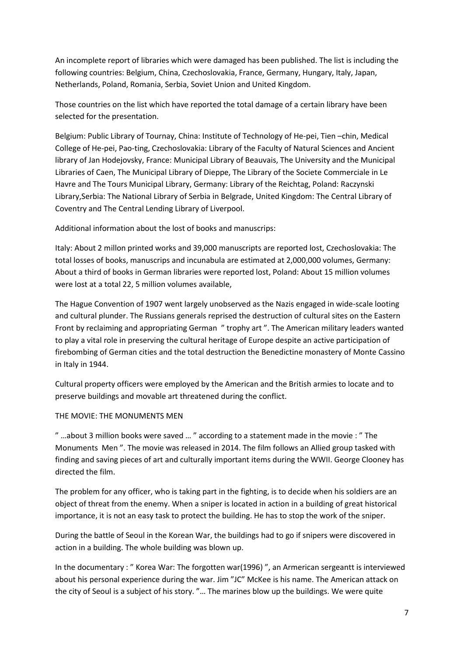An incomplete report of libraries which were damaged has been published. The list is including the following countries: Belgium, China, Czechoslovakia, France, Germany, Hungary, Italy, Japan, Netherlands, Poland, Romania, Serbia, Soviet Union and United Kingdom.

Those countries on the list which have reported the total damage of a certain library have been selected for the presentation.

Belgium: Public Library of Tournay, China: Institute of Technology of He-pei, Tien –chin, Medical College of He-pei, Pao-ting, Czechoslovakia: Library of the Faculty of Natural Sciences and Ancient library of Jan Hodejovsky, France: Municipal Library of Beauvais, The University and the Municipal Libraries of Caen, The Municipal Library of Dieppe, The Library of the Societe Commerciale in Le Havre and The Tours Municipal Library, Germany: Library of the Reichtag, Poland: Raczynski Library,Serbia: The National Library of Serbia in Belgrade, United Kingdom: The Central Library of Coventry and The Central Lending Library of Liverpool.

Additional information about the lost of books and manuscrips:

Italy: About 2 millon printed works and 39,000 manuscripts are reported lost, Czechoslovakia: The total losses of books, manuscrips and incunabula are estimated at 2,000,000 volumes, Germany: About a third of books in German libraries were reported lost, Poland: About 15 million volumes were lost at a total 22, 5 million volumes available,

The Hague Convention of 1907 went largely unobserved as the Nazis engaged in wide-scale looting and cultural plunder. The Russians generals reprised the destruction of cultural sites on the Eastern Front by reclaiming and appropriating German " trophy art ". The American military leaders wanted to play a vital role in preserving the cultural heritage of Europe despite an active participation of firebombing of German cities and the total destruction the Benedictine monastery of Monte Cassino in Italy in 1944.

Cultural property officers were employed by the American and the British armies to locate and to preserve buildings and movable art threatened during the conflict.

## THE MOVIE: THE MONUMENTS MEN

" …about 3 million books were saved … " according to a statement made in the movie : " The Monuments Men ". The movie was released in 2014. The film follows an Allied group tasked with finding and saving pieces of art and culturally important items during the WWII. George Clooney has directed the film.

The problem for any officer, who is taking part in the fighting, is to decide when his soldiers are an object of threat from the enemy. When a sniper is located in action in a building of great historical importance, it is not an easy task to protect the building. He has to stop the work of the sniper.

During the battle of Seoul in the Korean War, the buildings had to go if snipers were discovered in action in a building. The whole building was blown up.

In the documentary : " Korea War: The forgotten war(1996) ", an Armerican sergeantt is interviewed about his personal experience during the war. Jim "JC" McKee is his name. The American attack on the city of Seoul is a subject of his story. "… The marines blow up the buildings. We were quite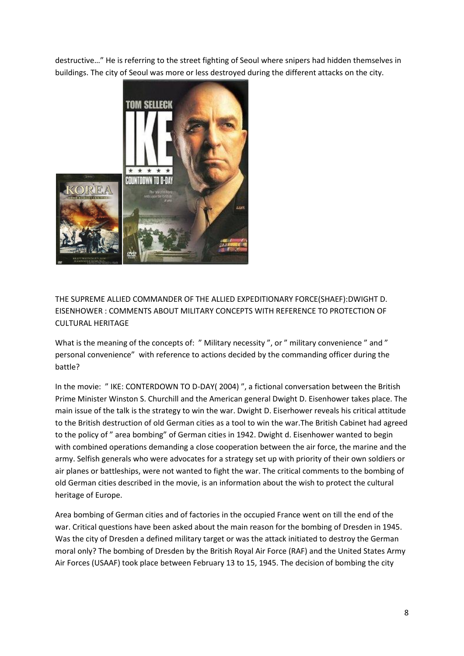destructive…" He is referring to the street fighting of Seoul where snipers had hidden themselves in buildings. The city of Seoul was more or less destroyed during the different attacks on the city.



THE SUPREME ALLIED COMMANDER OF THE ALLIED EXPEDITIONARY FORCE(SHAEF):DWIGHT D. EISENHOWER : COMMENTS ABOUT MILITARY CONCEPTS WITH REFERENCE TO PROTECTION OF CULTURAL HERITAGE

What is the meaning of the concepts of: " Military necessity ", or " military convenience " and " personal convenience" with reference to actions decided by the commanding officer during the battle?

In the movie: " IKE: CONTERDOWN TO D-DAY( 2004) ", a fictional conversation between the British Prime Minister Winston S. Churchill and the American general Dwight D. Eisenhower takes place. The main issue of the talk is the strategy to win the war. Dwight D. Eiserhower reveals his critical attitude to the British destruction of old German cities as a tool to win the war.The British Cabinet had agreed to the policy of " area bombing" of German cities in 1942. Dwight d. Eisenhower wanted to begin with combined operations demanding a close cooperation between the air force, the marine and the army. Selfish generals who were advocates for a strategy set up with priority of their own soldiers or air planes or battleships, were not wanted to fight the war. The critical comments to the bombing of old German cities described in the movie, is an information about the wish to protect the cultural heritage of Europe.

Area bombing of German cities and of factories in the occupied France went on till the end of the war. Critical questions have been asked about the main reason for the bombing of Dresden in 1945. Was the city of Dresden a defined military target or was the attack initiated to destroy the German moral only? The bombing of Dresden by the British Royal Air Force (RAF) and the United States Army Air Forces (USAAF) took place between February 13 to 15, 1945. The decision of bombing the city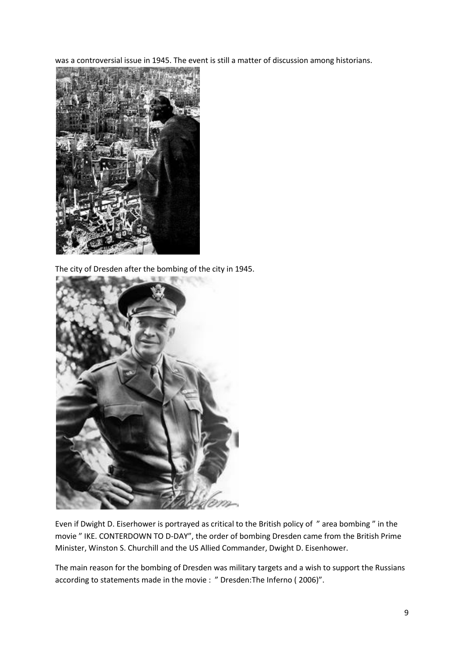was a controversial issue in 1945. The event is still a matter of discussion among historians.



The city of Dresden after the bombing of the city in 1945.



Even if Dwight D. Eiserhower is portrayed as critical to the British policy of " area bombing " in the movie " IKE. CONTERDOWN TO D-DAY", the order of bombing Dresden came from the British Prime Minister, Winston S. Churchill and the US Allied Commander, Dwight D. Eisenhower.

The main reason for the bombing of Dresden was military targets and a wish to support the Russians according to statements made in the movie : " Dresden:The Inferno ( 2006)".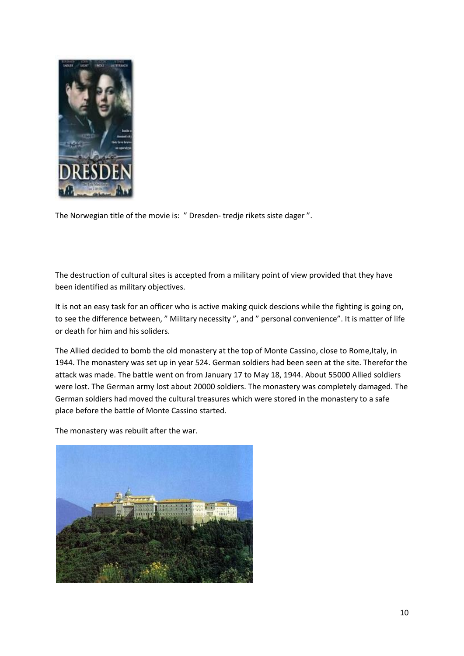

The Norwegian title of the movie is: " Dresden- tredje rikets siste dager ".

The destruction of cultural sites is accepted from a military point of view provided that they have been identified as military objectives.

It is not an easy task for an officer who is active making quick descions while the fighting is going on, to see the difference between, " Military necessity ", and " personal convenience". It is matter of life or death for him and his soliders.

The Allied decided to bomb the old monastery at the top of Monte Cassino, close to Rome,Italy, in 1944. The monastery was set up in year 524. German soldiers had been seen at the site. Therefor the attack was made. The battle went on from January 17 to May 18, 1944. About 55000 Allied soldiers were lost. The German army lost about 20000 soldiers. The monastery was completely damaged. The German soldiers had moved the cultural treasures which were stored in the monastery to a safe place before the battle of Monte Cassino started.

The monastery was rebuilt after the war.

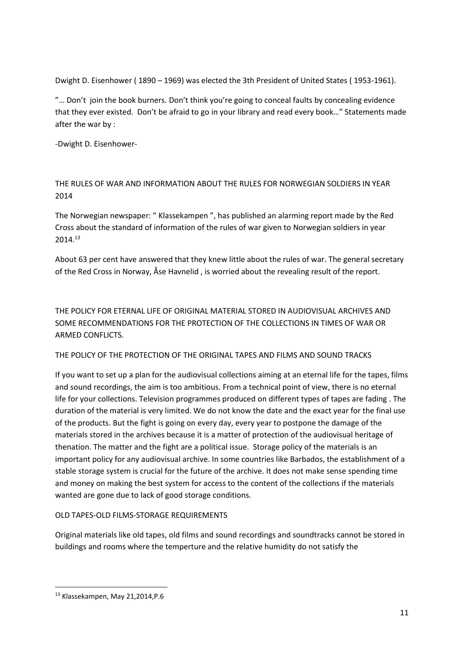Dwight D. Eisenhower ( 1890 – 1969) was elected the 3th President of United States ( 1953-1961).

"… Don't join the book burners. Don't think you're going to conceal faults by concealing evidence that they ever existed. Don't be afraid to go in your library and read every book…" Statements made after the war by :

-Dwight D. Eisenhower-

THE RULES OF WAR AND INFORMATION ABOUT THE RULES FOR NORWEGIAN SOLDIERS IN YEAR 2014

The Norwegian newspaper: " Klassekampen ", has published an alarming report made by the Red Cross about the standard of information of the rules of war given to Norwegian soldiers in year 2014.<sup>13</sup>

About 63 per cent have answered that they knew little about the rules of war. The general secretary of the Red Cross in Norway, Åse Havnelid , is worried about the revealing result of the report.

THE POLICY FOR ETERNAL LIFE OF ORIGINAL MATERIAL STORED IN AUDIOVISUAL ARCHIVES AND SOME RECOMMENDATIONS FOR THE PROTECTION OF THE COLLECTIONS IN TIMES OF WAR OR ARMED CONFLICTS.

THE POLICY OF THE PROTECTION OF THE ORIGINAL TAPES AND FILMS AND SOUND TRACKS

If you want to set up a plan for the audiovisual collections aiming at an eternal life for the tapes, films and sound recordings, the aim is too ambitious. From a technical point of view, there is no eternal life for your collections. Television programmes produced on different types of tapes are fading . The duration of the material is very limited. We do not know the date and the exact year for the final use of the products. But the fight is going on every day, every year to postpone the damage of the materials stored in the archives because it is a matter of protection of the audiovisual heritage of thenation. The matter and the fight are a political issue. Storage policy of the materials is an important policy for any audiovisual archive. In some countries like Barbados, the establishment of a stable storage system is crucial for the future of the archive. It does not make sense spending time and money on making the best system for access to the content of the collections if the materials wanted are gone due to lack of good storage conditions.

## OLD TAPES-OLD FILMS-STORAGE REQUIREMENTS

Original materials like old tapes, old films and sound recordings and soundtracks cannot be stored in buildings and rooms where the temperture and the relative humidity do not satisfy the

**.** 

<sup>13</sup> Klassekampen, May 21,2014,P.6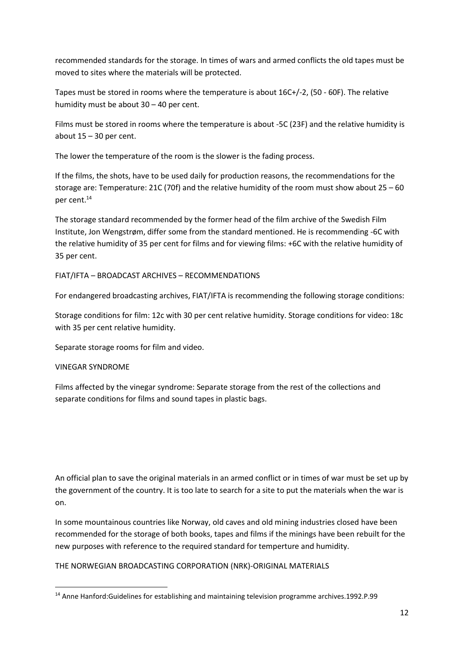recommended standards for the storage. In times of wars and armed conflicts the old tapes must be moved to sites where the materials will be protected.

Tapes must be stored in rooms where the temperature is about 16C+/-2, (50 - 60F). The relative humidity must be about 30 – 40 per cent.

Films must be stored in rooms where the temperature is about -5C (23F) and the relative humidity is about  $15 - 30$  per cent.

The lower the temperature of the room is the slower is the fading process.

If the films, the shots, have to be used daily for production reasons, the recommendations for the storage are: Temperature: 21C (70f) and the relative humidity of the room must show about  $25 - 60$ per cent.<sup>14</sup>

The storage standard recommended by the former head of the film archive of the Swedish Film Institute, Jon Wengstrøm, differ some from the standard mentioned. He is recommending -6C with the relative humidity of 35 per cent for films and for viewing films: +6C with the relative humidity of 35 per cent.

FIAT/IFTA – BROADCAST ARCHIVES – RECOMMENDATIONS

For endangered broadcasting archives, FIAT/IFTA is recommending the following storage conditions:

Storage conditions for film: 12c with 30 per cent relative humidity. Storage conditions for video: 18c with 35 per cent relative humidity.

Separate storage rooms for film and video.

## VINEGAR SYNDROME

**.** 

Films affected by the vinegar syndrome: Separate storage from the rest of the collections and separate conditions for films and sound tapes in plastic bags.

An official plan to save the original materials in an armed conflict or in times of war must be set up by the government of the country. It is too late to search for a site to put the materials when the war is on.

In some mountainous countries like Norway, old caves and old mining industries closed have been recommended for the storage of both books, tapes and films if the minings have been rebuilt for the new purposes with reference to the required standard for temperture and humidity.

THE NORWEGIAN BROADCASTING CORPORATION (NRK)-ORIGINAL MATERIALS

<sup>14</sup> Anne Hanford:Guidelines for establishing and maintaining television programme archives.1992.P.99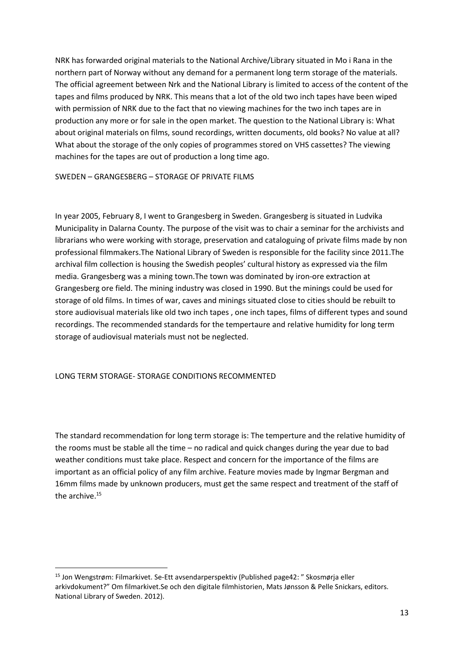NRK has forwarded original materials to the National Archive/Library situated in Mo i Rana in the northern part of Norway without any demand for a permanent long term storage of the materials. The official agreement between Nrk and the National Library is limited to access of the content of the tapes and films produced by NRK. This means that a lot of the old two inch tapes have been wiped with permission of NRK due to the fact that no viewing machines for the two inch tapes are in production any more or for sale in the open market. The question to the National Library is: What about original materials on films, sound recordings, written documents, old books? No value at all? What about the storage of the only copies of programmes stored on VHS cassettes? The viewing machines for the tapes are out of production a long time ago.

SWEDEN – GRANGESBERG – STORAGE OF PRIVATE FILMS

In year 2005, February 8, I went to Grangesberg in Sweden. Grangesberg is situated in Ludvika Municipality in Dalarna County. The purpose of the visit was to chair a seminar for the archivists and librarians who were working with storage, preservation and cataloguing of private films made by non professional filmmakers.The National Library of Sweden is responsible for the facility since 2011.The archival film collection is housing the Swedish peoples' cultural history as expressed via the film media. Grangesberg was a mining town.The town was dominated by iron-ore extraction at Grangesberg ore field. The mining industry was closed in 1990. But the minings could be used for storage of old films. In times of war, caves and minings situated close to cities should be rebuilt to store audiovisual materials like old two inch tapes , one inch tapes, films of different types and sound recordings. The recommended standards for the tempertaure and relative humidity for long term storage of audiovisual materials must not be neglected.

### LONG TERM STORAGE- STORAGE CONDITIONS RECOMMENTED

**.** 

The standard recommendation for long term storage is: The temperture and the relative humidity of the rooms must be stable all the time – no radical and quick changes during the year due to bad weather conditions must take place. Respect and concern for the importance of the films are important as an official policy of any film archive. Feature movies made by Ingmar Bergman and 16mm films made by unknown producers, must get the same respect and treatment of the staff of the archive.<sup>15</sup>

<sup>15</sup> Jon Wengstrøm: Filmarkivet. Se-Ett avsendarperspektiv (Published page42: " Skosmørja eller arkivdokument?" Om filmarkivet.Se och den digitale filmhistorien, Mats Jønsson & Pelle Snickars, editors. National Library of Sweden. 2012).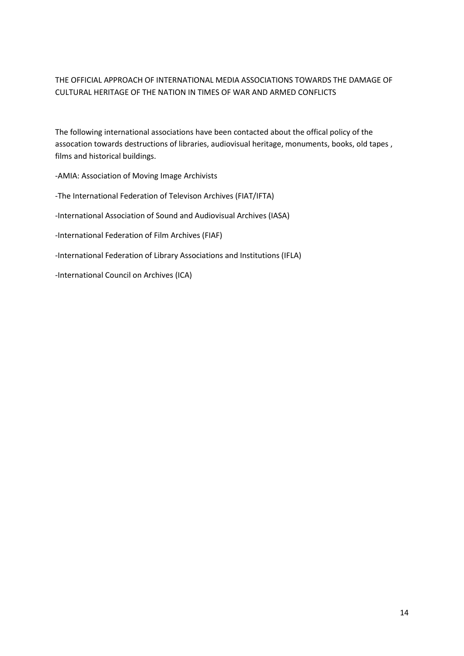# THE OFFICIAL APPROACH OF INTERNATIONAL MEDIA ASSOCIATIONS TOWARDS THE DAMAGE OF CULTURAL HERITAGE OF THE NATION IN TIMES OF WAR AND ARMED CONFLICTS

The following international associations have been contacted about the offical policy of the assocation towards destructions of libraries, audiovisual heritage, monuments, books, old tapes , films and historical buildings.

-AMIA: Association of Moving Image Archivists -The International Federation of Televison Archives (FIAT/IFTA) -International Association of Sound and Audiovisual Archives (IASA) -International Federation of Film Archives (FIAF) -International Federation of Library Associations and Institutions (IFLA) -International Council on Archives (ICA)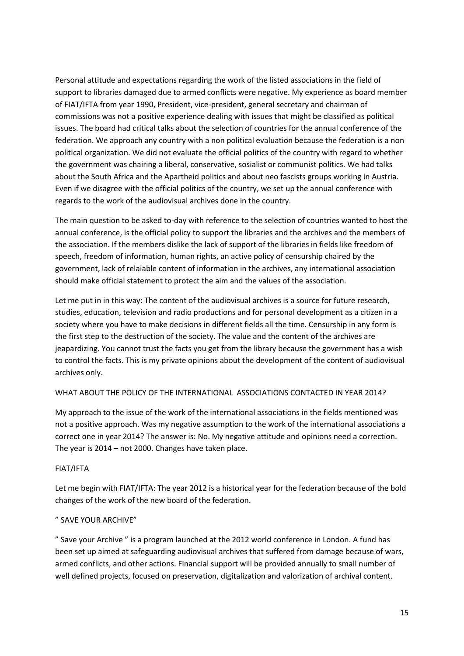Personal attitude and expectations regarding the work of the listed associations in the field of support to libraries damaged due to armed conflicts were negative. My experience as board member of FIAT/IFTA from year 1990, President, vice-president, general secretary and chairman of commissions was not a positive experience dealing with issues that might be classified as political issues. The board had critical talks about the selection of countries for the annual conference of the federation. We approach any country with a non political evaluation because the federation is a non political organization. We did not evaluate the official politics of the country with regard to whether the government was chairing a liberal, conservative, sosialist or communist politics. We had talks about the South Africa and the Apartheid politics and about neo fascists groups working in Austria. Even if we disagree with the official politics of the country, we set up the annual conference with regards to the work of the audiovisual archives done in the country.

The main question to be asked to-day with reference to the selection of countries wanted to host the annual conference, is the official policy to support the libraries and the archives and the members of the association. If the members dislike the lack of support of the libraries in fields like freedom of speech, freedom of information, human rights, an active policy of censurship chaired by the government, lack of relaiable content of information in the archives, any international association should make official statement to protect the aim and the values of the association.

Let me put in in this way: The content of the audiovisual archives is a source for future research, studies, education, television and radio productions and for personal development as a citizen in a society where you have to make decisions in different fields all the time. Censurship in any form is the first step to the destruction of the society. The value and the content of the archives are jeapardizing. You cannot trust the facts you get from the library because the government has a wish to control the facts. This is my private opinions about the development of the content of audiovisual archives only.

## WHAT ABOUT THE POLICY OF THE INTERNATIONAL ASSOCIATIONS CONTACTED IN YEAR 2014?

My approach to the issue of the work of the international associations in the fields mentioned was not a positive approach. Was my negative assumption to the work of the international associations a correct one in year 2014? The answer is: No. My negative attitude and opinions need a correction. The year is 2014 – not 2000. Changes have taken place.

### FIAT/IFTA

Let me begin with FIAT/IFTA: The year 2012 is a historical year for the federation because of the bold changes of the work of the new board of the federation.

## " SAVE YOUR ARCHIVE"

" Save your Archive " is a program launched at the 2012 world conference in London. A fund has been set up aimed at safeguarding audiovisual archives that suffered from damage because of wars, armed conflicts, and other actions. Financial support will be provided annually to small number of well defined projects, focused on preservation, digitalization and valorization of archival content.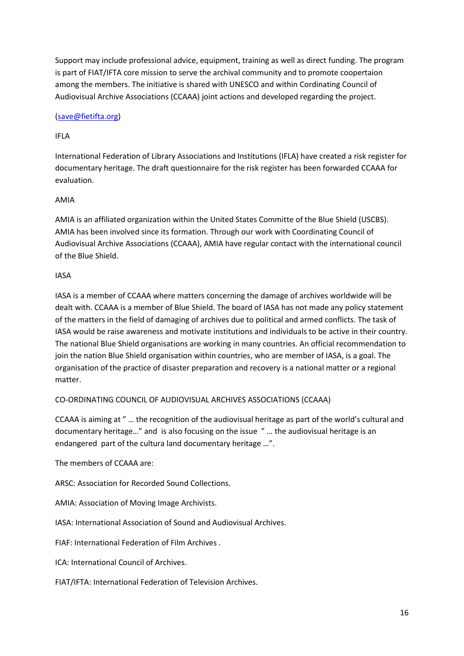Support may include professional advice, equipment, training as well as direct funding. The program is part of FIAT/IFTA core mission to serve the archival community and to promote coopertaion among the members. The initiative is shared with UNESCO and within Cordinating Council of Audiovisual Archive Associations (CCAAA) joint actions and developed regarding the project.

# [\(save@fietifta.org\)](mailto:save@fietifta.org)

# IFLA

International Federation of Library Associations and Institutions (IFLA) have created a risk register for documentary heritage. The draft questionnaire for the risk register has been forwarded CCAAA for evaluation.

# AMIA

AMIA is an affiliated organization within the United States Committe of the Blue Shield (USCBS). AMIA has been involved since its formation. Through our work with Coordinating Council of Audiovisual Archive Associations (CCAAA), AMIA have regular contact with the international council of the Blue Shield.

## IASA

IASA is a member of CCAAA where matters concerning the damage of archives worldwide will be dealt with. CCAAA is a member of Blue Shield. The board of IASA has not made any policy statement of the matters in the field of damaging of archives due to political and armed conflicts. The task of IASA would be raise awareness and motivate institutions and individuals to be active in their country. The national Blue Shield organisations are working in many countries. An official recommendation to join the nation Blue Shield organisation within countries, who are member of IASA, is a goal. The organisation of the practice of disaster preparation and recovery is a national matter or a regional matter.

## CO-ORDINATING COUNCIL OF AUDIOVISUAL ARCHIVES ASSOCIATIONS (CCAAA)

CCAAA is aiming at " … the recognition of the audiovisual heritage as part of the world's cultural and documentary heritage…" and is also focusing on the issue " … the audiovisual heritage is an endangered part of the cultura land documentary heritage …".

The members of CCAAA are:

ARSC: Association for Recorded Sound Collections.

AMIA: Association of Moving Image Archivists.

IASA: International Association of Sound and Audiovisual Archives.

FIAF: International Federation of Film Archives .

ICA: International Council of Archives.

FIAT/IFTA: International Federation of Television Archives.